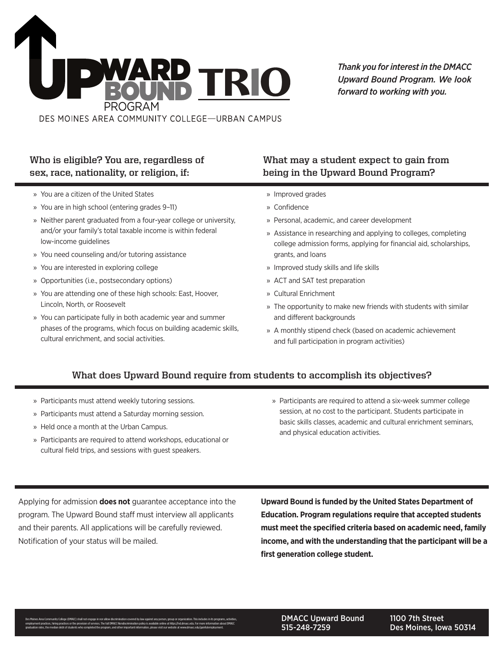

## **Who is eligible? You are, regardless of sex, race, nationality, or religion, if:**

- » You are a citizen of the United States
- » You are in high school (entering grades 9–11)
- » Neither parent graduated from a four-year college or university, and/or your family's total taxable income is within federal low-income guidelines
- » You need counseling and/or tutoring assistance
- » You are interested in exploring college
- » Opportunities (i.e., postsecondary options)
- » You are attending one of these high schools: East, Hoover, Lincoln, North, or Roosevelt
- » You can participate fully in both academic year and summer phases of the programs, which focus on building academic skills, cultural enrichment, and social activities.

### **What may a student expect to gain from being in the Upward Bound Program?**

- » Improved grades
- » Confdence
- » Personal, academic, and career development
- » Assistance in researching and applying to colleges, completing college admission forms, applying for financial aid, scholarships, grants, and loans
- » Improved study skills and life skills
- » ACT and SAT test preparation
- » Cultural Enrichment
- » The opportunity to make new friends with students with similar and different backgrounds
- » A monthly stipend check (based on academic achievement and full participation in program activities)

### **What does Upward Bound require from students to accomplish its objectives?**

- » Participants must attend weekly tutoring sessions.
- » Participants must attend a Saturday morning session.
- » Held once a month at the Urban Campus.
- » Participants are required to attend workshops, educational or cultural field trips, and sessions with guest speakers.
- » Participants are required to attend a six-week summer college session, at no cost to the participant. Students participate in basic skills classes, academic and cultural enrichment seminars, and physical education activities.

Applying for admission **does not** guarantee acceptance into the **Upward Bound is funded by the United States Department of**  program. The Upward Bound staff must interview all applicants **Education. Program regulations require that accepted students**  and their parents. All applications will be carefully reviewed. **must meet the specifed criteria based on academic need, family**  Notifcation of your status will be mailed. **income, and with the understanding that the participant will be a**  first generation college student.

DMACC Upward Bound 515-248-7259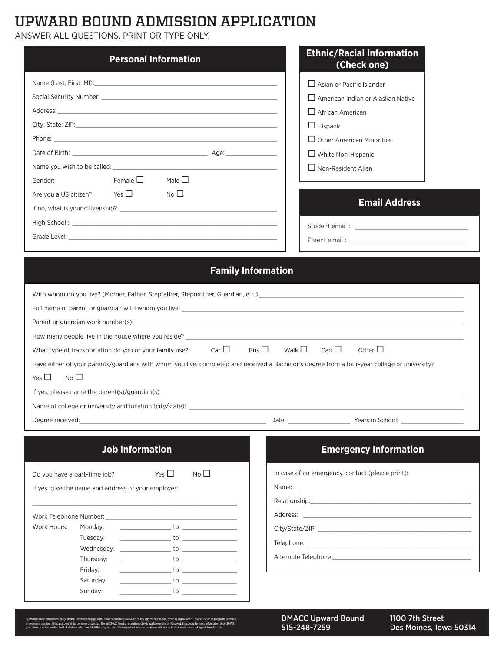## **UPWARD BOUND ADMISSION APPLICATION**

ANSWER ALL QUESTIONS. PRINT OR TYPE ONLY.

| <b>Personal Information</b>                                                                                                                                                                                                                                                                                                                                                                                                                                                                                                                                                                                                                                                                                                                                                          | <b>Ethnic/Racial Information</b><br>(Check one)                                                                                                                                                                                                                                                                                                                                                                                                                                                                                                     |
|--------------------------------------------------------------------------------------------------------------------------------------------------------------------------------------------------------------------------------------------------------------------------------------------------------------------------------------------------------------------------------------------------------------------------------------------------------------------------------------------------------------------------------------------------------------------------------------------------------------------------------------------------------------------------------------------------------------------------------------------------------------------------------------|-----------------------------------------------------------------------------------------------------------------------------------------------------------------------------------------------------------------------------------------------------------------------------------------------------------------------------------------------------------------------------------------------------------------------------------------------------------------------------------------------------------------------------------------------------|
| Female $\square$ Male $\square$<br>Gender:<br>Are you a US citizen? Yes $\square$<br>No $\square$                                                                                                                                                                                                                                                                                                                                                                                                                                                                                                                                                                                                                                                                                    | $\Box$ Asian or Pacific Islander<br>$\Box$ American Indian or Alaskan Native<br>$\Box$ African American<br>$\Box$ Hispanic<br>$\Box$ Other American Minorities<br>$\Box$ White Non-Hispanic<br>$\Box$ Non-Resident Alien<br><b>Email Address</b>                                                                                                                                                                                                                                                                                                    |
| <b>Family Information</b><br>Parent or guardian work number(s): example and the state of the state of the state of the state of the state of the state of the state of the state of the state of the state of the state of the state of the state of the st<br>What type of transportation do you or your family use? Car $\Box$<br>Have either of your parents/guardians with whom you live, completed and received a Bachelor's degree from a four-year college or university?<br>No $\square$<br>Yes $\Box$<br>Degree received:                                                                                                                                                                                                                                                   | Bus $\Box$<br>Walk $\square$<br>Cab $\Box$<br>Other $\Box$                                                                                                                                                                                                                                                                                                                                                                                                                                                                                          |
| <b>Job Information</b><br>No <sub>1</sub><br>Yes $\square$<br>Do you have a part-time job?<br>If yes, give the name and address of your employer:<br>Work Telephone Number: What were also also have a series of the series of the series of the series of the series of the series of the series of the series of the series of the series of the series of the series of the seri<br>Work Hours:<br>Monday:<br>$\frac{1}{2}$ to $\frac{1}{2}$ to $\frac{1}{2}$ to $\frac{1}{2}$ to $\frac{1}{2}$<br>Tuesday:<br>Wednesday:<br>Thursday:<br>to the state of the state of the state of the state of the state of the state of the state of the state of the<br>Friday:<br>$\overline{\phantom{a}}$ to $\overline{\phantom{a}}$<br>Saturday:<br>Sunday:<br>$\sim$ to $\sim$ to $\sim$ | <b>Emergency Information</b><br>In case of an emergency, contact (please print):<br>Relationship: the contract of the contract of the contract of the contract of the contract of the contract of the contract of the contract of the contract of the contract of the contract of the contract of the contract of<br>Alternate Telephone: The contract of the contract of the contract of the contract of the contract of the contract of the contract of the contract of the contract of the contract of the contract of the contract of the contr |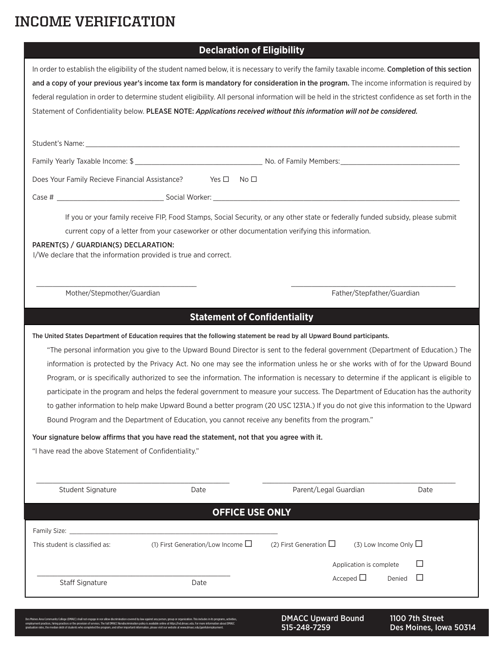# **INCOME VERIFICATION**

## **Declaration of Eligibility**

|                                                                                                                                                   | <b>DECIGIQUUII VI EIIYINIIII</b>                                                                 |                                                                                                                                                     |             |  |
|---------------------------------------------------------------------------------------------------------------------------------------------------|--------------------------------------------------------------------------------------------------|-----------------------------------------------------------------------------------------------------------------------------------------------------|-------------|--|
| In order to establish the eligibility of the student named below, it is necessary to verify the family taxable income. Completion of this section |                                                                                                  |                                                                                                                                                     |             |  |
| and a copy of your previous year's income tax form is mandatory for consideration in the program. The income information is required by           |                                                                                                  |                                                                                                                                                     |             |  |
|                                                                                                                                                   |                                                                                                  | federal regulation in order to determine student eligibility. All personal information will be held in the strictest confidence as set forth in the |             |  |
|                                                                                                                                                   |                                                                                                  | Statement of Confidentiality below. PLEASE NOTE: Applications received without this information will not be considered.                             |             |  |
|                                                                                                                                                   |                                                                                                  |                                                                                                                                                     |             |  |
|                                                                                                                                                   |                                                                                                  |                                                                                                                                                     |             |  |
|                                                                                                                                                   |                                                                                                  |                                                                                                                                                     |             |  |
| Does Your Family Recieve Financial Assistance?                                                                                                    | Yes $\square$ No $\square$                                                                       |                                                                                                                                                     |             |  |
|                                                                                                                                                   |                                                                                                  |                                                                                                                                                     |             |  |
|                                                                                                                                                   |                                                                                                  | If you or your family receive FIP, Food Stamps, Social Security, or any other state or federally funded subsidy, please submit                      |             |  |
|                                                                                                                                                   | current copy of a letter from your caseworker or other documentation verifying this information. |                                                                                                                                                     |             |  |
| PARENT(S) / GUARDIAN(S) DECLARATION:                                                                                                              |                                                                                                  |                                                                                                                                                     |             |  |
| I/We declare that the information provided is true and correct.                                                                                   |                                                                                                  |                                                                                                                                                     |             |  |
|                                                                                                                                                   |                                                                                                  |                                                                                                                                                     |             |  |
| Mother/Stepmother/Guardian                                                                                                                        |                                                                                                  | Father/Stepfather/Guardian                                                                                                                          |             |  |
|                                                                                                                                                   |                                                                                                  |                                                                                                                                                     |             |  |
|                                                                                                                                                   | <b>Statement of Confidentiality</b>                                                              |                                                                                                                                                     |             |  |
|                                                                                                                                                   |                                                                                                  | The United States Department of Education requires that the following statement be read by all Upward Bound participants.                           |             |  |
|                                                                                                                                                   |                                                                                                  | "The personal information you give to the Upward Bound Director is sent to the federal government (Department of Education.) The                    |             |  |
|                                                                                                                                                   |                                                                                                  | information is protected by the Privacy Act. No one may see the information unless he or she works with of for the Upward Bound                     |             |  |
|                                                                                                                                                   |                                                                                                  | Program, or is specifically authorized to see the information. The information is necessary to determine if the applicant is eligible to            |             |  |
|                                                                                                                                                   |                                                                                                  | participate in the program and helps the federal government to measure your success. The Department of Education has the authority                  |             |  |
|                                                                                                                                                   |                                                                                                  | to gather information to help make Upward Bound a better program (20 USC 1231A.) If you do not give this information to the Upward                  |             |  |
| Bound Program and the Department of Education, you cannot receive any benefits from the program."                                                 |                                                                                                  |                                                                                                                                                     |             |  |
|                                                                                                                                                   | Your signature below affirms that you have read the statement, not that you agree with it.       |                                                                                                                                                     |             |  |
| "I have read the above Statement of Confidentiality."                                                                                             |                                                                                                  |                                                                                                                                                     |             |  |
|                                                                                                                                                   |                                                                                                  |                                                                                                                                                     |             |  |
| Student Signature                                                                                                                                 | Date                                                                                             | Parent/Legal Guardian                                                                                                                               | Date        |  |
|                                                                                                                                                   |                                                                                                  |                                                                                                                                                     |             |  |
|                                                                                                                                                   | <b>OFFICE USE ONLY</b>                                                                           |                                                                                                                                                     |             |  |
| Family Size:                                                                                                                                      |                                                                                                  |                                                                                                                                                     |             |  |
| This student is classified as:                                                                                                                    | (1) First Generation/Low Income $\square$                                                        | (2) First Generation $\Box$<br>$(3)$ Low Income Only $\Box$                                                                                         |             |  |
|                                                                                                                                                   |                                                                                                  | Application is complete                                                                                                                             | $\Box$      |  |
| <b>Staff Signature</b>                                                                                                                            | Date                                                                                             | Acceped $\Box$                                                                                                                                      | Denied<br>ப |  |
|                                                                                                                                                   |                                                                                                  |                                                                                                                                                     |             |  |
|                                                                                                                                                   |                                                                                                  |                                                                                                                                                     |             |  |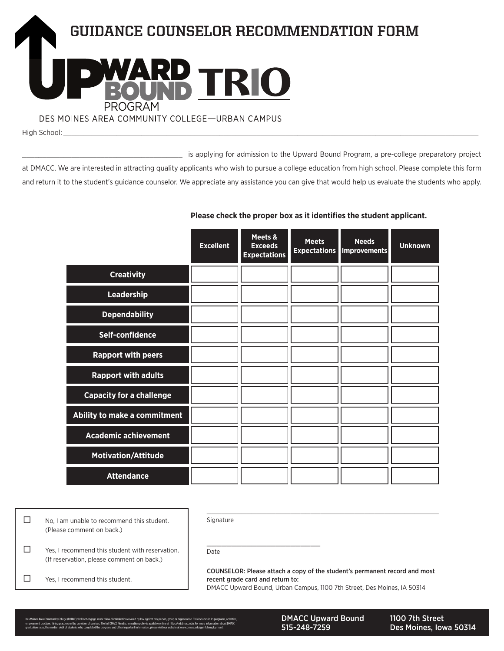

High School: \_\_\_\_\_\_\_\_\_\_\_\_\_\_\_\_\_\_\_\_\_\_\_\_\_\_\_\_\_\_\_\_\_\_\_\_\_\_\_\_\_\_\_\_\_\_\_\_\_\_\_\_\_\_\_\_\_\_\_\_\_\_\_\_\_\_\_\_\_\_\_\_\_\_\_\_\_\_\_\_\_\_\_\_\_\_\_\_\_\_\_\_\_\_\_\_\_\_\_\_\_

\_\_\_\_\_\_\_\_\_\_\_\_\_\_\_\_\_\_\_\_\_\_\_\_\_\_\_\_\_\_\_\_\_\_\_\_\_\_\_ is applying for admission to the Upward Bound Program, a pre-college preparatory project at DMACC. We are interested in attracting quality applicants who wish to pursue a college education from high school. Please complete this form and return it to the student's guidance counselor. We appreciate any assistance you can give that would help us evaluate the students who apply.

|                                 | <b>Excellent</b> | Meets &<br><b>Exceeds</b><br><b>Expectations</b> | <b>Meets</b><br><b>Expectations</b> | <b>Needs</b><br><b>Improvements</b> | <b>Unknown</b> |
|---------------------------------|------------------|--------------------------------------------------|-------------------------------------|-------------------------------------|----------------|
| <b>Creativity</b>               |                  |                                                  |                                     |                                     |                |
| Leadership                      |                  |                                                  |                                     |                                     |                |
| <b>Dependability</b>            |                  |                                                  |                                     |                                     |                |
| Self-confidence                 |                  |                                                  |                                     |                                     |                |
| <b>Rapport with peers</b>       |                  |                                                  |                                     |                                     |                |
| <b>Rapport with adults</b>      |                  |                                                  |                                     |                                     |                |
| <b>Capacity for a challenge</b> |                  |                                                  |                                     |                                     |                |
| Ability to make a commitment    |                  |                                                  |                                     |                                     |                |
| <b>Academic achievement</b>     |                  |                                                  |                                     |                                     |                |
| <b>Motivation/Attitude</b>      |                  |                                                  |                                     |                                     |                |
| <b>Attendance</b>               |                  |                                                  |                                     |                                     |                |

**Please check the proper box as it identifes the student applicant.** 

 $\Box$  No, I am unable to recommend this student. (Please comment on back.)

Signature

Date

\_\_\_\_\_\_\_\_\_\_\_\_\_\_\_\_\_\_\_\_\_\_\_

T Yes, I recommend this student with reservation. (If reservation, please comment on back.)

Yes, I recommend this student.

COUNSELOR: Please attach a copy of the student's permanent record and most recent grade card and return to: DMACC Upward Bound, Urban Campus, 1100 7th Street, Des Moines, IA 50314

\_\_\_\_\_\_\_\_\_\_\_\_\_\_\_\_\_\_\_\_\_\_\_\_\_\_\_\_\_\_\_\_\_\_\_\_\_\_\_\_\_\_\_\_\_\_\_

DMACC Upward Bound 515-248-7259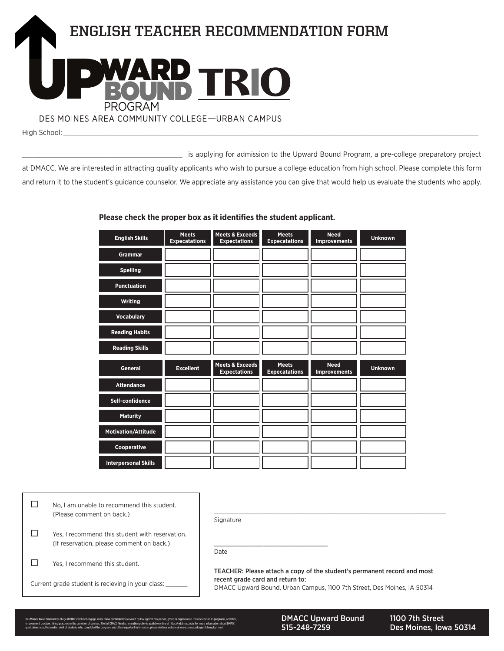

\_\_\_\_\_\_\_\_\_\_\_\_\_\_\_\_\_\_\_\_\_\_\_\_\_\_\_\_\_\_\_\_\_\_\_\_\_\_\_ is applying for admission to the Upward Bound Program, a pre-college preparatory project at DMACC. We are interested in attracting quality applicants who wish to pursue a college education from high school. Please complete this form and return it to the student's guidance counselor. We appreciate any assistance you can give that would help us evaluate the students who apply.

#### **Please check the proper box as it identifes the student applicant.**

| <b>English Skills</b>       | <b>Meets</b><br><b>Expecatations</b> | <b>Meets &amp; Exceeds</b><br><b>Expectations</b> | <b>Meets</b><br><b>Expecatations</b> | <b>Need</b><br><b>Improvements</b> | <b>Unknown</b> |
|-----------------------------|--------------------------------------|---------------------------------------------------|--------------------------------------|------------------------------------|----------------|
| <b>Grammar</b>              |                                      |                                                   |                                      |                                    |                |
| <b>Spelling</b>             |                                      |                                                   |                                      |                                    |                |
| <b>Punctuation</b>          |                                      |                                                   |                                      |                                    |                |
| Writing                     |                                      |                                                   |                                      |                                    |                |
| <b>Vocabulary</b>           |                                      |                                                   |                                      |                                    |                |
| <b>Reading Habits</b>       |                                      |                                                   |                                      |                                    |                |
| <b>Reading Skills</b>       |                                      |                                                   |                                      |                                    |                |
| <b>General</b>              | <b>Excellent</b>                     | <b>Meets &amp; Exceeds</b><br><b>Expectations</b> | <b>Meets</b><br><b>Expecatations</b> | <b>Need</b><br><b>Improvements</b> | <b>Unknown</b> |
| <b>Attendance</b>           |                                      |                                                   |                                      |                                    |                |
| Self-confidence             |                                      |                                                   |                                      |                                    |                |
| <b>Maturity</b>             |                                      |                                                   |                                      |                                    |                |
| <b>Motivation/Attitude</b>  |                                      |                                                   |                                      |                                    |                |
| Cooperative                 |                                      |                                                   |                                      |                                    |                |
| <b>Interpersonal Skills</b> |                                      |                                                   |                                      |                                    |                |

| No, I am unable to recommend this student.<br>(Please comment on back.)                      | Signature                                                                                                                                                                               |
|----------------------------------------------------------------------------------------------|-----------------------------------------------------------------------------------------------------------------------------------------------------------------------------------------|
| Yes, I recommend this student with reservation.<br>(If reservation, please comment on back.) | Date                                                                                                                                                                                    |
| Yes, I recommend this student.                                                               |                                                                                                                                                                                         |
| Current grade student is recieving in your class:                                            | TEACHER: Please attach a copy of the student's permanent record and most<br>recent grade card and return to:<br>DMACC Upward Bound, Urban Campus, 1100 7th Street, Des Moines, IA 50314 |
|                                                                                              |                                                                                                                                                                                         |

Des Moines Area Community College (DMACC) shall not engage in nor allow discrimination covered by law against any person, group or organization. This includes in its programs, activities, employment practices, hiring practices or the provision of services. The full DMACC Nondiscrimination policy is available online at https://nd.dmacc.edu. For more information about DMACC graduation rates, the median debt of students who completed the program, and other important information, please visit our website at www.dmacc.edu/gainfulemployment.

DMACC Upward Bound 515-248-7259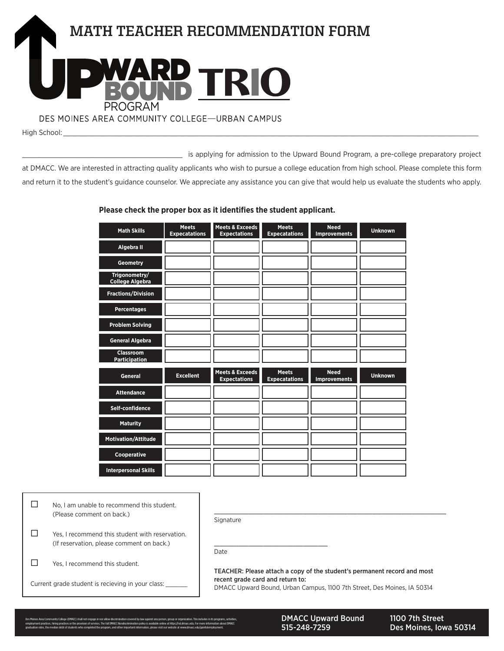

\_\_\_\_\_\_\_\_\_\_\_\_\_\_\_\_\_\_\_\_\_\_\_\_\_\_\_\_\_\_\_\_\_\_\_\_\_\_\_ is applying for admission to the Upward Bound Program, a pre-college preparatory project at DMACC. We are interested in attracting quality applicants who wish to pursue a college education from high school. Please complete this form and return it to the student's guidance counselor. We appreciate any assistance you can give that would help us evaluate the students who apply.

#### **Please check the proper box as it identifes the student applicant.**

| <b>Math Skills</b>                       | <b>Meets</b><br><b>Expecatations</b> | <b>Meets &amp; Exceeds</b><br><b>Expectations</b> | <b>Meets</b><br><b>Expecatations</b> | <b>Need</b><br><b>Improvements</b> | <b>Unknown</b> |
|------------------------------------------|--------------------------------------|---------------------------------------------------|--------------------------------------|------------------------------------|----------------|
| Algebra II                               |                                      |                                                   |                                      |                                    |                |
| <b>Geometry</b>                          |                                      |                                                   |                                      |                                    |                |
| Trigonometry/<br><b>College Algebra</b>  |                                      |                                                   |                                      |                                    |                |
| <b>Fractions/Division</b>                |                                      |                                                   |                                      |                                    |                |
| <b>Percentages</b>                       |                                      |                                                   |                                      |                                    |                |
| <b>Problem Solving</b>                   |                                      |                                                   |                                      |                                    |                |
| <b>General Algebra</b>                   |                                      |                                                   |                                      |                                    |                |
| <b>Classroom</b><br><b>Participation</b> |                                      |                                                   |                                      |                                    |                |
| <b>General</b>                           | <b>Excellent</b>                     | <b>Meets &amp; Exceeds</b><br><b>Expectations</b> | <b>Meets</b><br><b>Expecatations</b> | <b>Need</b><br><b>Improvements</b> | <b>Unknown</b> |
| <b>Attendance</b>                        |                                      |                                                   |                                      |                                    |                |
| Self-confidence                          |                                      |                                                   |                                      |                                    |                |
| <b>Maturity</b>                          |                                      |                                                   |                                      |                                    |                |
| Motivation/Attitude                      |                                      |                                                   |                                      |                                    |                |
| Cooperative                              |                                      |                                                   |                                      |                                    |                |
| <b>Interpersonal Skills</b>              |                                      |                                                   |                                      |                                    |                |

| No, I am unable to recommend this student.<br>(Please comment on back.)                      | Signature                                                                                                                                                                               |
|----------------------------------------------------------------------------------------------|-----------------------------------------------------------------------------------------------------------------------------------------------------------------------------------------|
| Yes, I recommend this student with reservation.<br>(If reservation, please comment on back.) | Date                                                                                                                                                                                    |
| Yes, I recommend this student.                                                               |                                                                                                                                                                                         |
| Current grade student is recieving in your class:                                            | TEACHER: Please attach a copy of the student's permanent record and most<br>recent grade card and return to:<br>DMACC Upward Bound, Urban Campus, 1100 7th Street, Des Moines, IA 50314 |
|                                                                                              |                                                                                                                                                                                         |